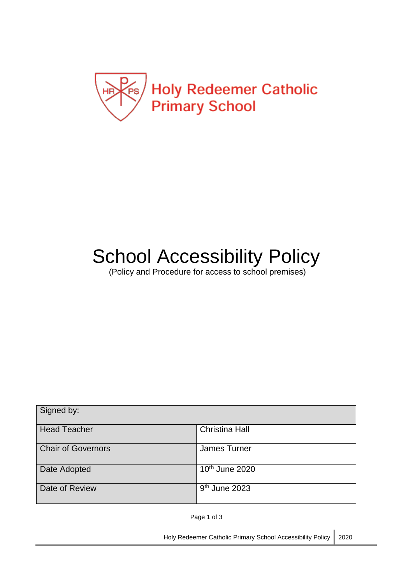

# School Accessibility Policy

(Policy and Procedure for access to school premises)

| Signed by:                |                            |
|---------------------------|----------------------------|
| <b>Head Teacher</b>       | <b>Christina Hall</b>      |
| <b>Chair of Governors</b> | James Turner               |
| Date Adopted              | 10 <sup>th</sup> June 2020 |
| Date of Review            | $9th$ June 2023            |

Page 1 of 3

Holy Redeemer Catholic Primary School Accessibility Policy 2020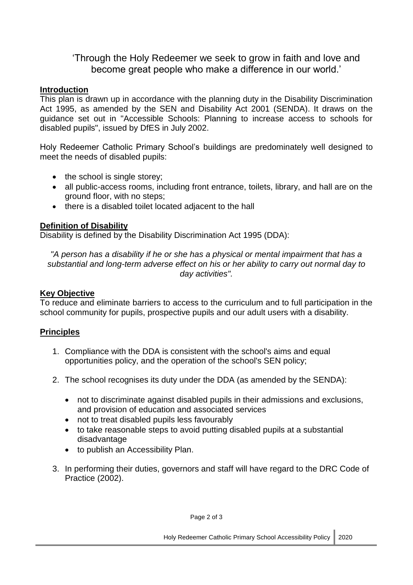'Through the Holy Redeemer we seek to grow in faith and love and become great people who make a difference in our world.'

# **Introduction**

This plan is drawn up in accordance with the planning duty in the Disability Discrimination Act 1995, as amended by the SEN and Disability Act 2001 (SENDA). It draws on the guidance set out in "Accessible Schools: Planning to increase access to schools for disabled pupils", issued by DfES in July 2002.

Holy Redeemer Catholic Primary School's buildings are predominately well designed to meet the needs of disabled pupils:

- $\bullet$  the school is single storey;
- all public-access rooms, including front entrance, toilets, library, and hall are on the ground floor, with no steps;
- there is a disabled toilet located adjacent to the hall

# **Definition of Disability**

Disability is defined by the Disability Discrimination Act 1995 (DDA):

*"A person has a disability if he or she has a physical or mental impairment that has a substantial and long-term adverse effect on his or her ability to carry out normal day to day activities".*

## **Key Objective**

To reduce and eliminate barriers to access to the curriculum and to full participation in the school community for pupils, prospective pupils and our adult users with a disability.

# **Principles**

- 1. Compliance with the DDA is consistent with the school's aims and equal opportunities policy, and the operation of the school's SEN policy;
- 2. The school recognises its duty under the DDA (as amended by the SENDA):
	- not to discriminate against disabled pupils in their admissions and exclusions, and provision of education and associated services
	- not to treat disabled pupils less favourably
	- to take reasonable steps to avoid putting disabled pupils at a substantial disadvantage
	- to publish an Accessibility Plan.
- 3. In performing their duties, governors and staff will have regard to the DRC Code of Practice (2002).

Page 2 of 3